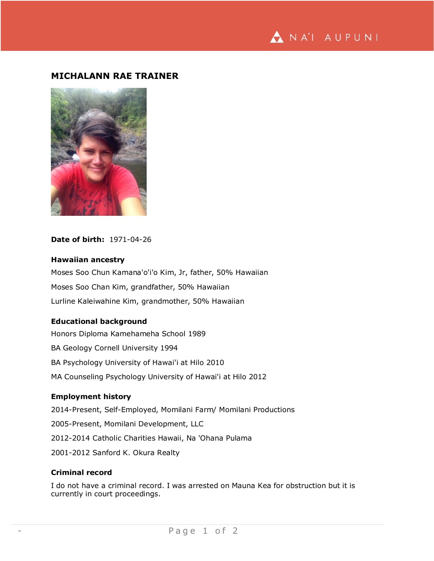## **MICHALANN RAE TRAINER**



### **Date of birth:** 1971-04-26

#### **Hawaiian ancestry**

Moses Soo Chun Kamana'o'i'o Kim, Jr, father, 50% Hawaiian Moses Soo Chan Kim, grandfather, 50% Hawaiian Lurline Kaleiwahine Kim, grandmother, 50% Hawaiian

### **Educational background**

Honors Diploma Kamehameha School 1989 BA Geology Cornell University 1994 BA Psychology University of Hawai'i at Hilo 2010 MA Counseling Psychology University of Hawai'i at Hilo 2012

## **Employment history**

2014-Present, Self-Employed, Momilani Farm/ Momilani Productions 2005-Present, Momilani Development, LLC 2012-2014 Catholic Charities Hawaii, Na 'Ohana Pulama 2001-2012 Sanford K. Okura Realty

# **Criminal record**

I do not have a criminal record. I was arrested on Mauna Kea for obstruction but it is currently in court proceedings.